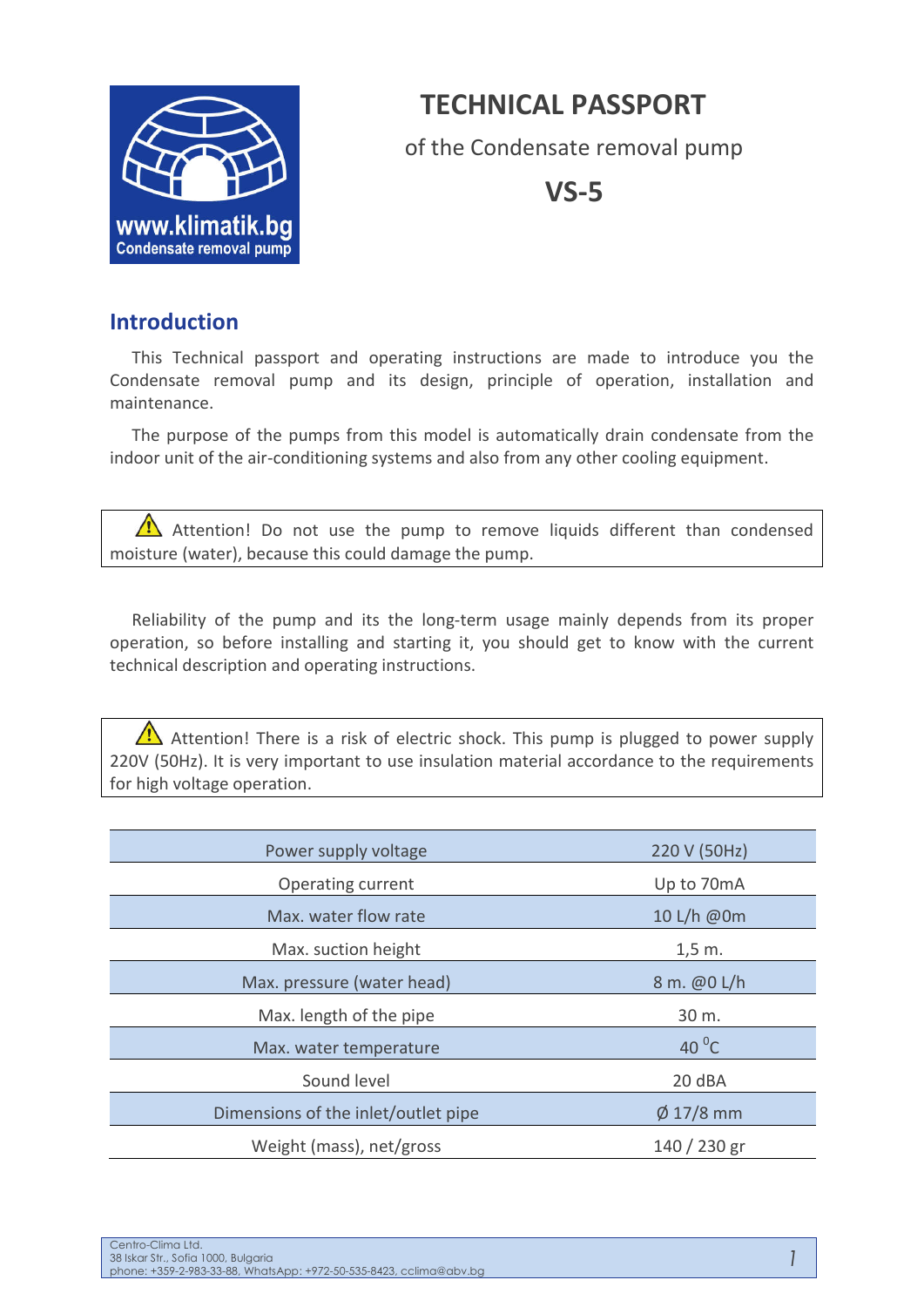# **TECHNICAL PASSPORT**



of the Condensate removal pump

**VS-5**

## **Introduction**

This Technical passport and operating instructions are made to introduce you the Condensate removal pump and its design, principle of operation, installation and maintenance.

The purpose of the pumps from this model is automatically drain condensate from the indoor unit of the air-conditioning systems and also from any other cooling equipment.

Attention! Do not use the pump to remove liquids different than condensed moisture (water), because this could damage the pump.

Reliability of the pump and its the long-term usage mainly depends from its proper operation, so before installing and starting it, you should get to know with the current technical description and operating instructions.

Attention! There is a risk of electric shock. This pump is plugged to power supply 220V (50Hz). It is very important to use insulation material accordance to the requirements for high voltage operation.

| Power supply voltage                | 220 V (50Hz)   |
|-------------------------------------|----------------|
| Operating current                   | Up to 70mA     |
| Max. water flow rate                | 10 L/h @0m     |
| Max. suction height                 | $1,5 \, m.$    |
| Max. pressure (water head)          | 8 m. @0 L/h    |
| Max. length of the pipe             | 30 m.          |
| Max. water temperature              | 40 $^0$ C      |
| Sound level                         | 20 dBA         |
| Dimensions of the inlet/outlet pipe | $\phi$ 17/8 mm |
| Weight (mass), net/gross            | 140 / 230 gr   |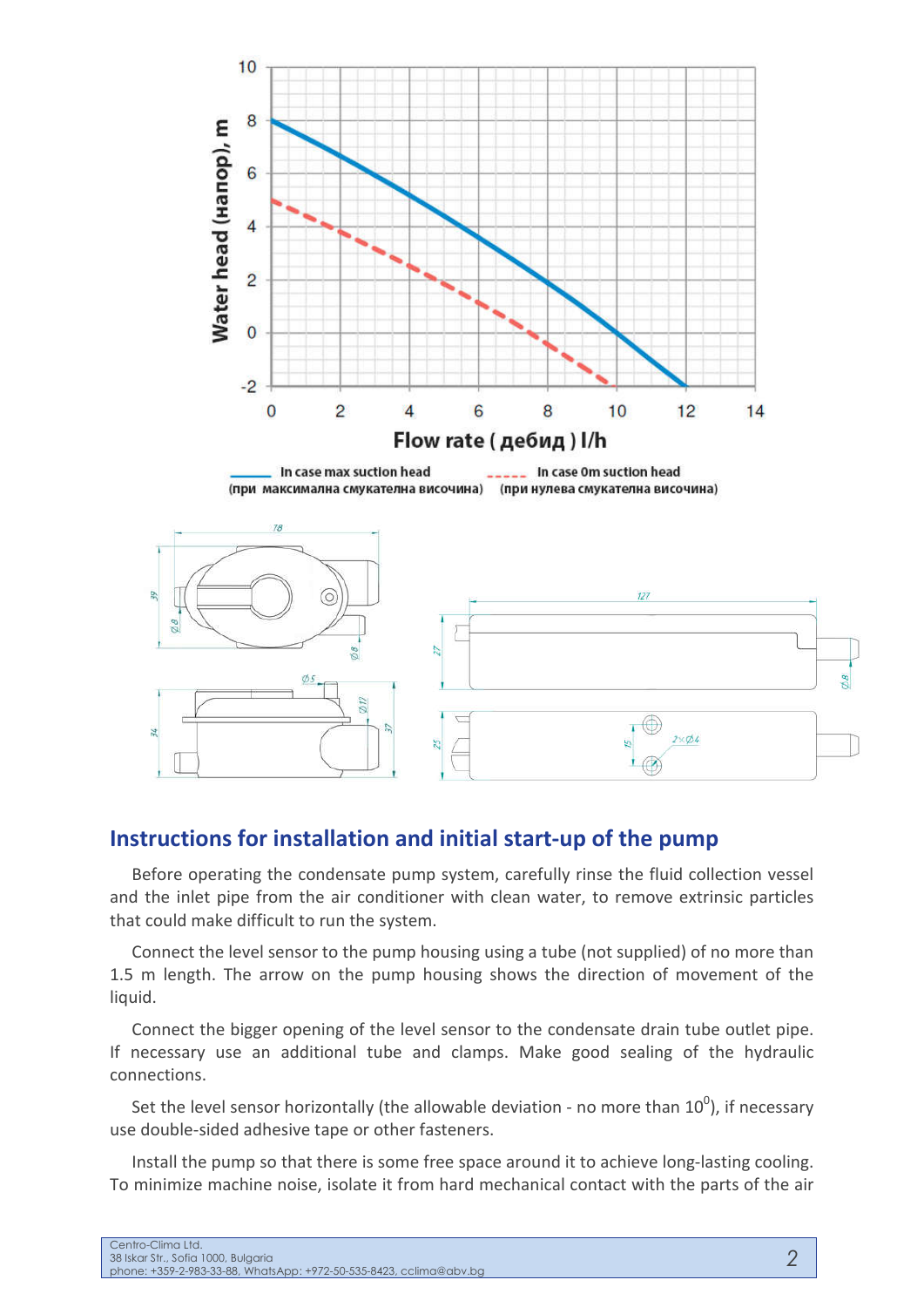

### **Instructions for installation and initial start-up of the pump**

Before operating the condensate pump system, carefully rinse the fluid collection vessel and the inlet pipe from the air conditioner with clean water, to remove extrinsic particles that could make difficult to run the system.

Connect the level sensor to the pump housing using a tube (not supplied) of no more than 1.5 m length. The arrow on the pump housing shows the direction of movement of the liquid.

Connect the bigger opening of the level sensor to the condensate drain tube outlet pipe. If necessary use an additional tube and clamps. Make good sealing of the hydraulic connections.

Set the level sensor horizontally (the allowable deviation - no more than  $10^0$ ), if necessary use double-sided adhesive tape or other fasteners.

Install the pump so that there is some free space around it to achieve long-lasting cooling. To minimize machine noise, isolate it from hard mechanical contact with the parts of the air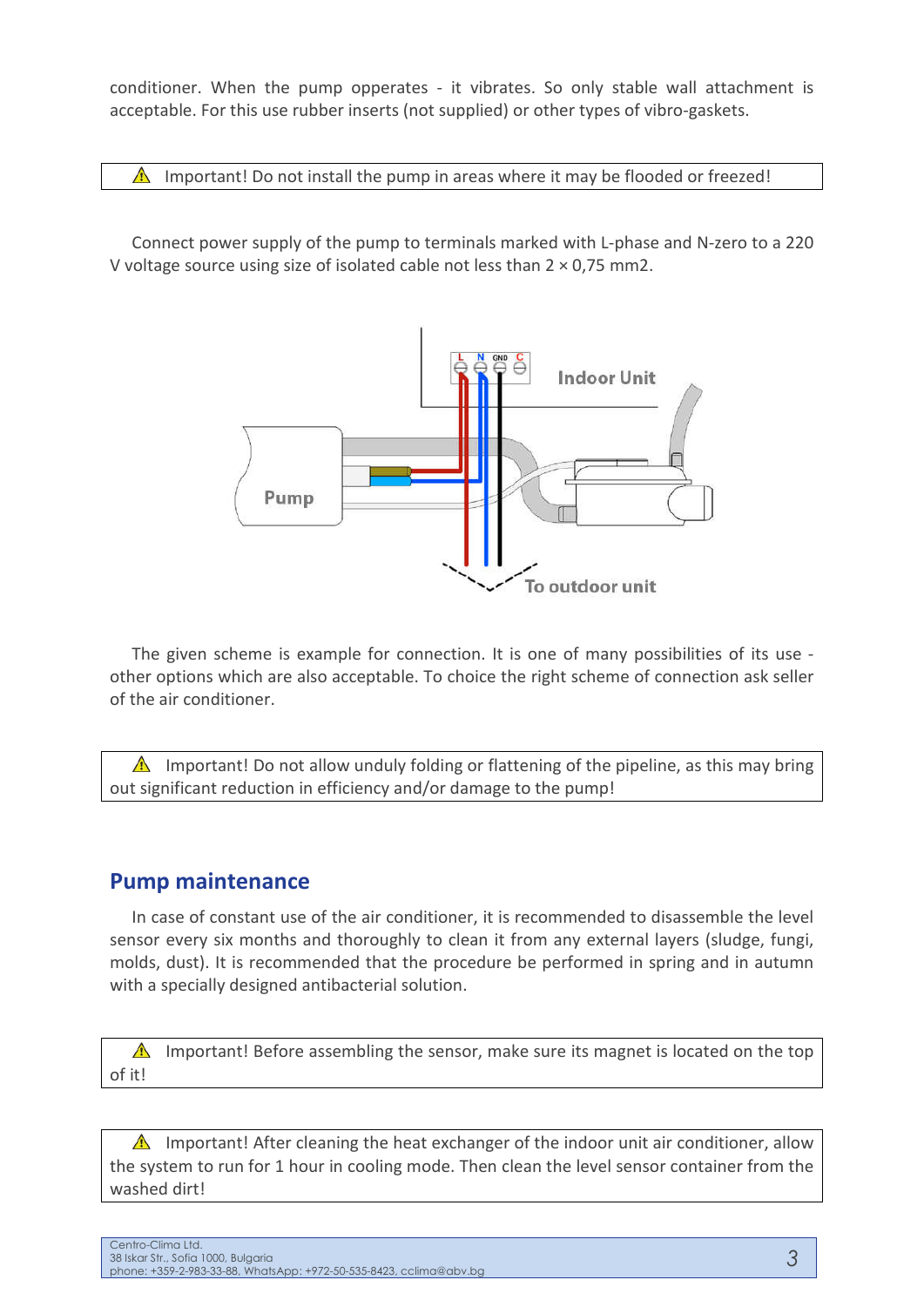conditioner. When the pump opperates - it vibrates. So only stable wall attachment is acceptable. For this use rubber inserts (not supplied) or other types of vibro-gaskets.

 $\triangle$  Important! Do not install the pump in areas where it may be flooded or freezed!

Connect power supply of the pump to terminals marked with L-phase and N-zero to a 220 V voltage source using size of isolated cable not less than 2 × 0,75 mm2.



The given scheme is example for connection. It is one of many possibilities of its use other options which are also acceptable. To choice the right scheme of connection ask seller of the air conditioner.

 $\triangle$  Important! Do not allow unduly folding or flattening of the pipeline, as this may bring out significant reduction in efficiency and/or damage to the pump!

### **Pump maintenance**

In case of constant use of the air conditioner, it is recommended to disassemble the level sensor every six months and thoroughly to clean it from any external layers (sludge, fungi, molds, dust). It is recommended that the procedure be performed in spring and in autumn with a specially designed antibacterial solution.

Important! Before assembling the sensor, make sure its magnet is located on the top of it!

 $\triangle$  Important! After cleaning the heat exchanger of the indoor unit air conditioner, allow the system to run for 1 hour in cooling mode. Then clean the level sensor container from the washed dirt!